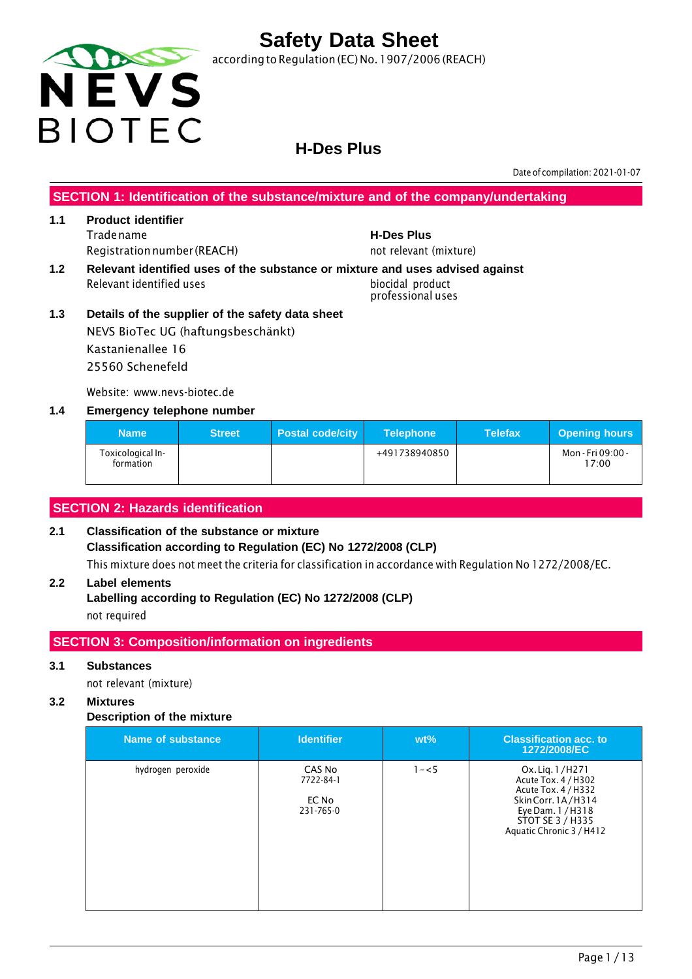

according to Regulation (EC) No. 1907/2006 (REACH)

### **H-Des Plus**

Date of compilation: 2021-01-07

**SECTION 1: Identification of the substance/mixture and of the company/undertaking**

#### **1.1 Product identifier** Tradename **H-Des Plus** Registration number (REACH) not relevant (mixture)

**1.2 Relevant identified uses of the substance or mixture and uses advised against** Relevant identified uses biocidal product

professional uses

**1.3 Details of the supplier of the safety data sheet** NEVS BioTec UG (haftungsbeschänkt) Kastanienallee 16 25560 Schenefeld

Website: www.nevs-biotec.de

#### **1.4 Emergency telephone number**

| <b>Name</b>                    | <b>Street</b> | <b>Postal code/city</b> | <b>Telephone</b> | <b>Telefax</b> | <b>Opening hours</b>       |
|--------------------------------|---------------|-------------------------|------------------|----------------|----------------------------|
| Toxicological In-<br>formation |               |                         | +491738940850    |                | Mon - Fri 09:00 -<br>17:00 |

#### **SECTION 2: Hazards identification**

#### **2.1 Classification of the substance or mixture Classification according to Regulation (EC) No 1272/2008 (CLP)** This mixture does not meet the criteria for classification in accordance with Regulation No 1272/2008/EC.

#### **2.2 Label elements**

**Labelling according to Regulation (EC) No 1272/2008 (CLP)** not required

#### **SECTION 3: Composition/information on ingredients**

#### **3.1 Substances**

not relevant (mixture)

#### **3.2 Mixtures**

#### **Description of the mixture**

| Name of substance | <b>Identifier</b>                         | $wt\%$  | <b>Classification acc. to</b><br>1272/2008/EC                                                                                                            |
|-------------------|-------------------------------------------|---------|----------------------------------------------------------------------------------------------------------------------------------------------------------|
| hydrogen peroxide | CAS No<br>7722-84-1<br>EC No<br>231-765-0 | $1 - 5$ | Ox. Lig. 1/H271<br>Acute Tox. 4 / H302<br>Acute Tox. 4 / H332<br>Skin Corr. 1A/H314<br>Eye Dam. 1 / H318<br>STOT SE 3 / H335<br>Aquatic Chronic 3 / H412 |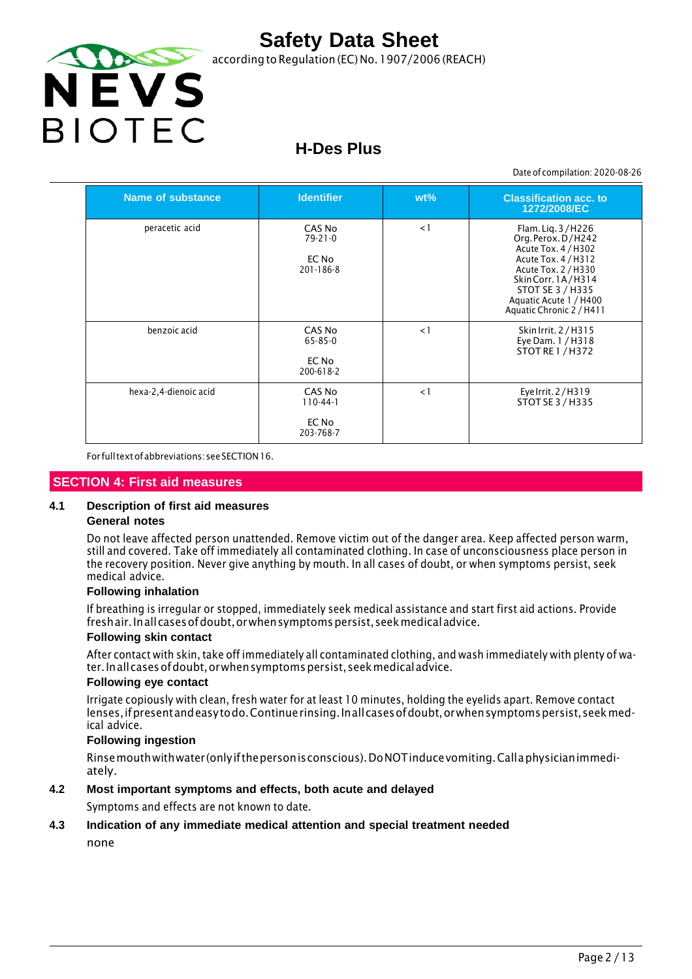

according to Regulation (EC) No. 1907/2006 (REACH)

## **H-Des Plus**

Date of compilation: 2020-08-26

| Name of substance     | <b>Identifier</b>                             | $wt\%$   | <b>Classification acc. to</b><br>1272/2008/EC                                                                                                                                                                |
|-----------------------|-----------------------------------------------|----------|--------------------------------------------------------------------------------------------------------------------------------------------------------------------------------------------------------------|
| peracetic acid        | CAS No<br>$79 - 21 - 0$<br>EC No<br>201-186-8 | $\lt 1$  | Flam. Lig. 3/H226<br>Org. Perox. D/H242<br>Acute Tox. 4 / H302<br>Acute Tox. 4 / H312<br>Acute Tox. 2 / H330<br>Skin Corr. 1A/H314<br>STOT SE 3 / H335<br>Aquatic Acute 1 / H400<br>Aquatic Chronic 2 / H411 |
| benzoic acid          | CAS No<br>65-85-0<br>EC No<br>200-618-2       | $\leq$ 1 | Skin Irrit. 2 / H315<br>Eye Dam. 1 / H318<br><b>STOT RE 1 / H372</b>                                                                                                                                         |
| hexa-2,4-dienoic acid | CAS No<br>$110-44-1$<br>EC No<br>203-768-7    | $\leq$ 1 | Eye Irrit. 2/H319<br>STOT SE 3 / H335                                                                                                                                                                        |

For fulltextofabbreviations: seeSECTION16.

#### **SECTION 4: First aid measures**

#### **4.1 Description of first aid measures**

#### **General notes**

Do not leave affected person unattended. Remove victim out of the danger area. Keep affected person warm, still and covered. Take off immediately all contaminated clothing. In case of unconsciousness place person in the recovery position. Never give anything by mouth. In all cases of doubt, or when symptoms persist, seek medical advice.

#### **Following inhalation**

If breathing is irregular or stopped, immediately seek medical assistance and start first aid actions. Provide freshair. Inall cases of doubt, or when symptoms persist, seek medical advice.

#### **Following skin contact**

After contact with skin, take off immediately all contaminated clothing, and wash immediately with plenty of water.Inallcasesofdoubt,orwhensymptomspersist,seekmedicaladvice.

#### **Following eye contact**

Irrigate copiously with clean, fresh water for at least 10 minutes, holding the eyelids apart. Remove contact lenses, if present and easy to do. Continue rinsing. In all cases of doubt, or when symptoms persist, seek medical advice.

#### **Following ingestion**

Rinsemouthwithwater (onlyifthepersonisconscious).DoNOTinducevomiting.Callaphysicianimmediately.

#### **4.2 Most important symptoms and effects, both acute and delayed**

Symptoms and effects are not known to date.

#### **4.3 Indication of any immediate medical attention and special treatment needed**

none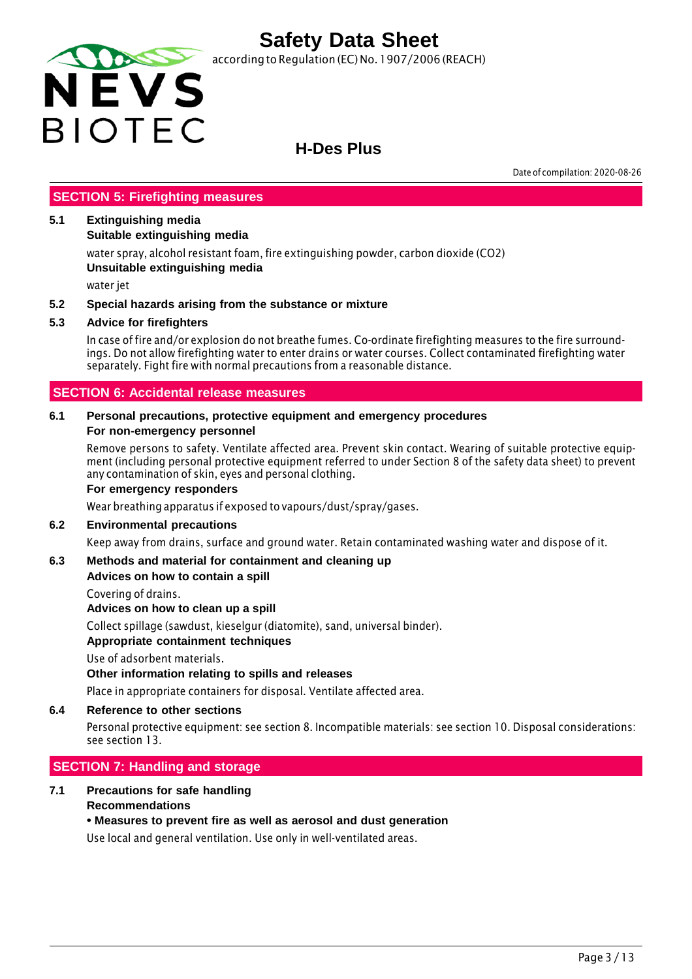

according to Regulation (EC) No. 1907/2006 (REACH)

### **H-Des Plus**

Date of compilation: 2020-08-26

#### **SECTION 5: Firefighting measures**

#### **5.1 Extinguishing media**

#### **Suitable extinguishing media**

water spray, alcohol resistant foam, fire extinguishing powder, carbon dioxide (CO2) **Unsuitable extinguishing media**

water jet

#### **5.2 Special hazards arising from the substance or mixture**

#### **5.3 Advice for firefighters**

In case of fire and/or explosion do not breathe fumes. Co-ordinate firefighting measures to the fire surroundings. Do not allow firefighting water to enter drains or water courses. Collect contaminated firefighting water separately. Fight fire with normal precautions from a reasonable distance.

#### **SECTION 6: Accidental release measures**

#### **6.1 Personal precautions, protective equipment and emergency procedures For non-emergency personnel**

Remove persons to safety. Ventilate affected area. Prevent skin contact. Wearing of suitable protective equipment (including personal protective equipment referred to under Section 8 of the safety data sheet) to prevent any contamination of skin, eyes and personal clothing.

#### **For emergency responders**

Wear breathing apparatus if exposed to vapours/dust/spray/gases.

#### **6.2 Environmental precautions**

Keep away from drains, surface and ground water. Retain contaminated washing water and dispose of it.

#### **6.3 Methods and material for containment and cleaning up**

#### **Advices on how to contain a spill**

Covering of drains.

**Advices on how to clean up a spill**

Collect spillage (sawdust, kieselgur (diatomite), sand, universal binder).

#### **Appropriate containment techniques**

Use of adsorbent materials.

#### **Other information relating to spills and releases**

Place in appropriate containers for disposal. Ventilate affected area.

#### **6.4 Reference to other sections**

Personal protective equipment: see section 8. Incompatible materials: see section 10. Disposal considerations: see section 13.

#### **SECTION 7: Handling and storage**

#### **7.1 Precautions for safe handling Recommendations**

#### **• Measures to prevent fire as well as aerosol and dust generation**

Use local and general ventilation. Use only in well-ventilated areas.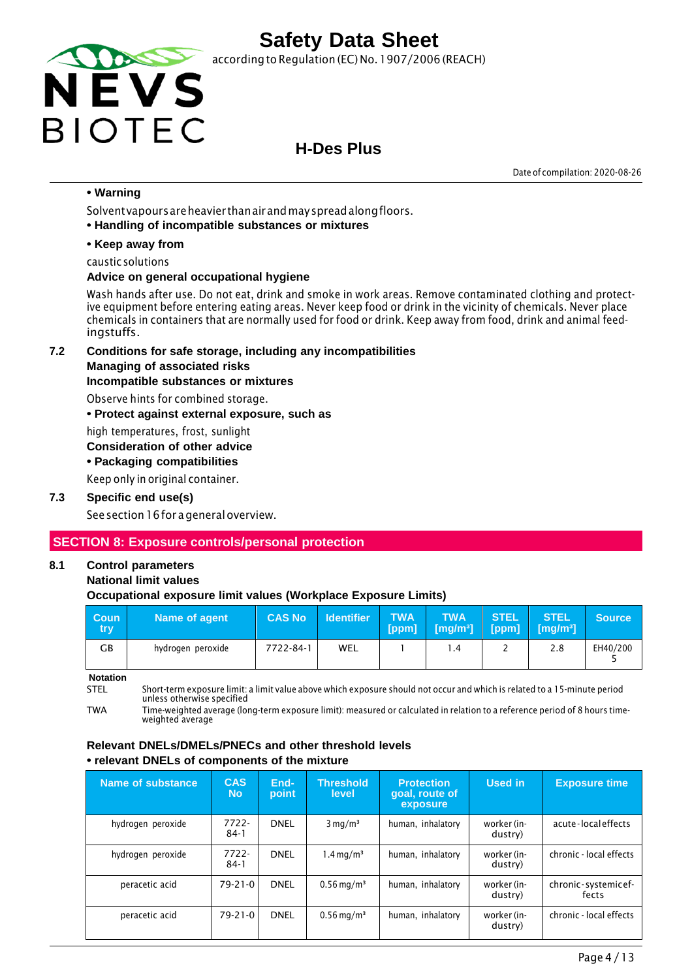

according to Regulation (EC) No. 1907/2006 (REACH)

### **H-Des Plus**

Date of compilation: 2020-08-26

#### **• Warning**

Solventvapoursareheavier thanairandmayspreadalongfloors.

**• Handling of incompatible substances or mixtures**

#### **• Keep away from**

caustic solutions

#### **Advice on general occupational hygiene**

Wash hands after use. Do not eat, drink and smoke in work areas. Remove contaminated clothing and protective equipment before entering eating areas. Never keep food or drink in the vicinity of chemicals. Never place chemicals in containers that are normally used for food or drink. Keep away from food, drink and animal feedingstuffs.

**7.2 Conditions for safe storage, including any incompatibilities**

#### **Managing of associated risks**

#### **Incompatible substances or mixtures**

Observe hints for combined storage.

**• Protect against external exposure, such as**

high temperatures, frost, sunlight

#### **Consideration of other advice**

**• Packaging compatibilities**

Keep only in original container.

#### **7.3 Specific end use(s)**

See section 16 for a general overview.

#### **SECTION 8: Exposure controls/personal protection**

#### **8.1 Control parameters**

#### **National limit values**

#### **Occupational exposure limit values (Workplace Exposure Limits)**

| <b>Coun</b><br>try | Name of agent     | <b>CAS No</b> | <b>Identifier</b> | <b>TWA</b><br>[ppm] | <b>TWA</b><br>$\sqrt{[mg/m^3]}$ | <b>STEL</b> | <b>STEL</b><br>$[ppm]$ $[mg/m^3]$ | <b>Source</b> |
|--------------------|-------------------|---------------|-------------------|---------------------|---------------------------------|-------------|-----------------------------------|---------------|
| GВ                 | hydrogen peroxide | 7722-84-1     | WEL               |                     | $\cdot$ 4                       | -           | 2.8                               | EH40/200      |

**Notation**

STEL Short-term exposure limit: a limit value above which exposure should not occur and which is related to a 15-minute period unless otherwise specified

TWA Time-weighted average (long-term exposure limit): measured or calculated in relation to a reference period of 8 hours timeweighted average

#### **Relevant DNELs/DMELs/PNECs and other threshold levels • relevant DNELs of components of the mixture**

| Name of substance | <b>CAS</b><br><b>No</b> | End-<br>point | <b>Threshold</b><br>level | <b>Protection</b><br>goal, route of<br>exposure | Used in                | <b>Exposure time</b>         |
|-------------------|-------------------------|---------------|---------------------------|-------------------------------------------------|------------------------|------------------------------|
| hydrogen peroxide | $7722 -$<br>$84-1$      | <b>DNEL</b>   | $3 \text{ mg/m}^3$        | human, inhalatory                               | worker (in-<br>dustry) | acute-localeffects           |
| hydrogen peroxide | 7722-<br>$84-1$         | <b>DNEL</b>   | $1.4 \,\mathrm{mq/m^3}$   | human, inhalatory                               | worker (in-<br>dustry) | chronic - local effects      |
| peracetic acid    | $79 - 21 - 0$           | <b>DNEL</b>   | $0.56 \,\mathrm{mg/m^3}$  | human, inhalatory                               | worker (in-<br>dustry) | chronic-systemicef-<br>fects |
| peracetic acid    | $79 - 21 - 0$           | <b>DNEL</b>   | $0.56 \,\mathrm{mg/m^3}$  | human, inhalatory                               | worker (in-<br>dustry) | chronic - local effects      |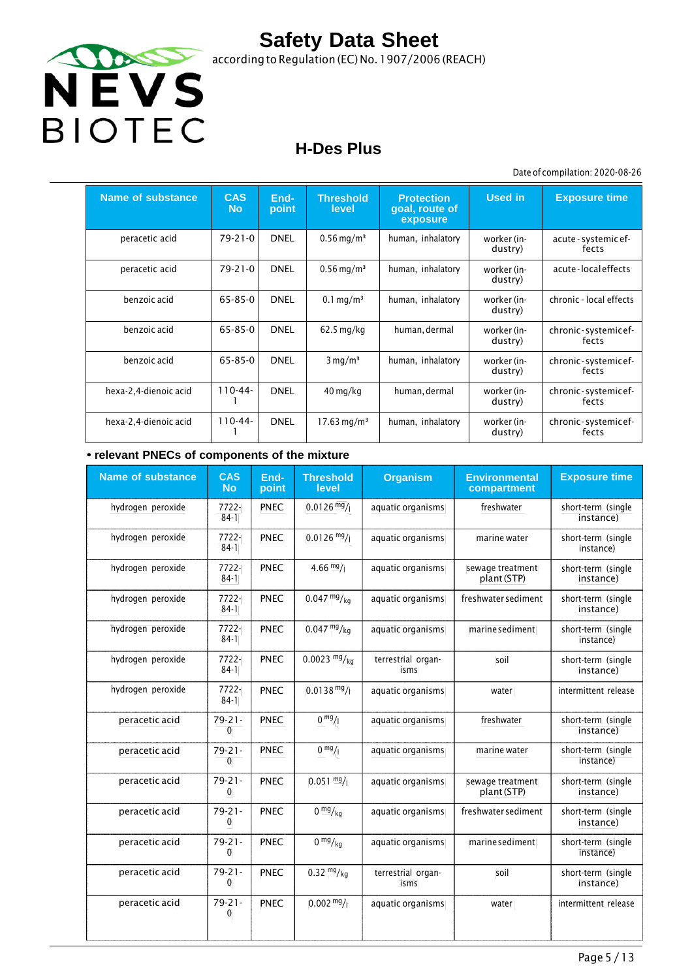

according to Regulation (EC) No.1907/2006 (REACH)

## **H-Des Plus**

Date of compilation: 2020-08-26

| <b>Name of substance</b> | <b>CAS</b><br><b>No</b> | End-<br>point | <b>Threshold</b><br>level | <b>Protection</b><br>goal, route of<br>exposure | <b>Used in</b>         | <b>Exposure time</b>          |
|--------------------------|-------------------------|---------------|---------------------------|-------------------------------------------------|------------------------|-------------------------------|
| peracetic acid           | 79-21-0                 | <b>DNEL</b>   | $0.56 \,\mathrm{mg/m^3}$  | human, inhalatory                               | worker (in-<br>dustry) | acute - systemic ef-<br>fects |
| peracetic acid           | 79-21-0                 | <b>DNEL</b>   | $0.56 \,\mathrm{mg/m^3}$  | human, inhalatory                               | worker (in-<br>dustry) | acute-localeffects            |
| benzoic acid             | 65-85-0                 | <b>DNEL</b>   | $0.1 \,\mathrm{mq/m^3}$   | human, inhalatory                               | worker (in-<br>dustry) | chronic - local effects       |
| benzoic acid             | 65-85-0                 | <b>DNEL</b>   | $62.5$ mg/kg              | human, dermal                                   | worker (in-<br>dustry) | chronic-systemicef-<br>fects  |
| benzoic acid             | 65-85-0                 | <b>DNEL</b>   | $3 \text{ mg/m}^3$        | human, inhalatory                               | worker (in-<br>dustry) | chronic-systemicef-<br>fects  |
| hexa-2,4-dienoic acid    | $110 - 44 -$            | <b>DNEL</b>   | $40 \,\mathrm{mg/kg}$     | human, dermal                                   | worker (in-<br>dustry) | chronic-systemicef-<br>fects  |
| hexa-2,4-dienoic acid    | $110-44-$               | <b>DNEL</b>   | $17.63 \,\mathrm{mg/m^3}$ | human, inhalatory                               | worker (in-<br>dustry) | chronic-systemicef-<br>fects  |

#### **• relevant PNECs of components of the mixture**

| <b>Name of substance</b> | <b>CAS</b><br><b>No</b>     | End-<br>point | <b>Threshold</b><br>level | <b>Organism</b>            | <b>Environmental</b><br>compartment | <b>Exposure time</b>            |
|--------------------------|-----------------------------|---------------|---------------------------|----------------------------|-------------------------------------|---------------------------------|
| hydrogen peroxide        | 7722-<br>$84-1$             | PNEC          | $0.0126 \frac{mg}{l}$     | aquatic organisms          | freshwater                          | short-term (single<br>instance) |
| hydrogen peroxide        | 7722-<br>$84-1$             | <b>PNEC</b>   | $0.0126$ mg/              | aquatic organisms          | marine water                        | short-term (single<br>instance) |
| hydrogen peroxide        | $7722 -$<br>$84-1$          | <b>PNEC</b>   | $4.66 \frac{mg}{l}$       | aquatic organisms          | sewage treatment<br>plant (STP)     | short-term (single<br>instance) |
| hydrogen peroxide        | 7722-<br>$84-1$             | PNEC          | $0.047 \frac{mg}{kg}$     | aquatic organisms          | freshwater sediment                 | short-term (single<br>instance) |
| hydrogen peroxide        | 7722-<br>$84-1$             | PNEC          | $0.047 \frac{mg}{kg}$     | aquatic organisms          | marine sediment                     | short-term (single<br>instance) |
| hydrogen peroxide        | $7722 -$<br>$84-1$          | <b>PNEC</b>   | $0.0023 \frac{mg}{kg}$    | terrestrial organ-<br>isms | soil                                | short-term (single<br>instance) |
| hydrogen peroxide        | 7722-<br>$84-1$             | PNEC          | $0.0138 \text{ mg}$ /     | aquatic organisms          | water                               | intermittent release            |
| peracetic acid           | $79 - 21 -$<br>0            | <b>PNEC</b>   | 0 <sup>mg</sup> /1        | aquatic organisms          | freshwater                          | short-term (single<br>instance) |
| peracetic acid           | $79 - 21 -$<br>$\mathbf{0}$ | <b>PNEC</b>   | 0 <sup>mg</sup> /1        | aquatic organisms          | marine water                        | short-term (single<br>instance) |
| peracetic acid           | $79 - 21 -$<br>0            | <b>PNEC</b>   | $0.051 \frac{mg}{l}$      | aquatic organisms          | sewage treatment<br>plant (STP)     | short-term (single<br>instance) |
| peracetic acid           | $79 - 21 -$<br>0            | <b>PNEC</b>   | 0 <sup>mg</sup> /kq       | aquatic organisms          | freshwater sediment                 | short-term (single<br>instance) |
| peracetic acid           | $79 - 21 -$<br>$\mathbf{0}$ | <b>PNEC</b>   | $0 \frac{mg}{kg}$         | aquatic organisms          | marine sediment                     | short-term (single<br>instance) |
| peracetic acid           | $79 - 21 -$<br>0            | PNEC          | $0.32 \frac{mg}{kg}$      | terrestrial organ-<br>isms | soil                                | short-term (single<br>instance) |
| peracetic acid           | $79 - 21 -$<br>$\mathbf{0}$ | <b>PNEC</b>   | $0.002 \frac{mg}{l}$      | aquatic organisms          | water                               | intermittent release            |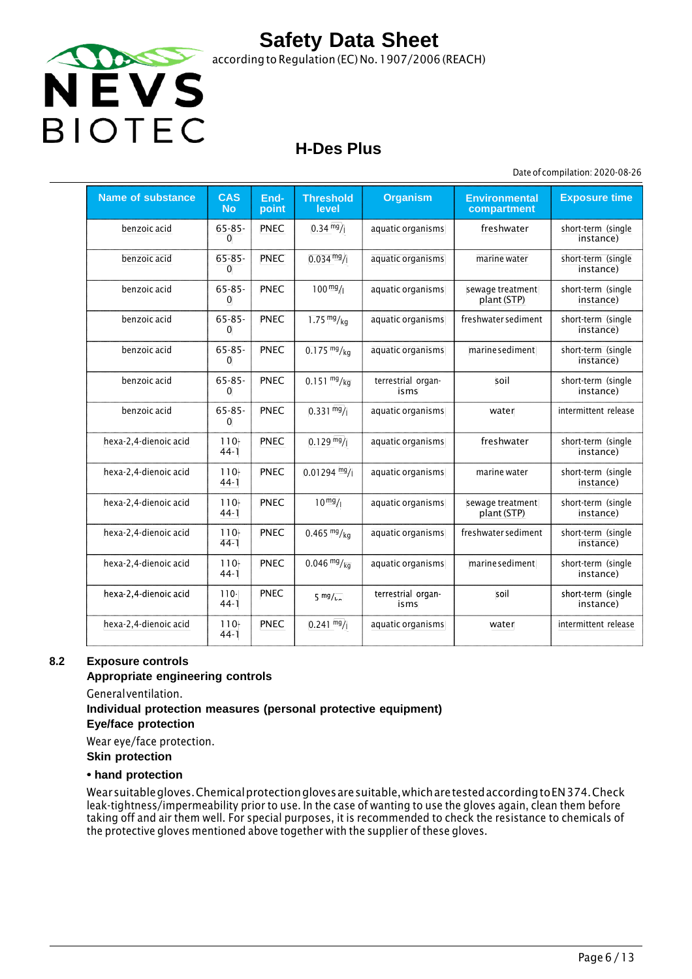

### **H-Des Plus**

Date of compilation: 2020-08-26

| <b>Name of substance</b> | <b>CAS</b><br><b>No</b>     | End-<br>point | <b>Threshold</b><br>level | <b>Organism</b>            | <b>Environmental</b><br>compartment | <b>Exposure time</b>            |
|--------------------------|-----------------------------|---------------|---------------------------|----------------------------|-------------------------------------|---------------------------------|
| benzoic acid             | $65 - 85 -$<br>$\mathbf{0}$ | PNEC          | $0.34 \frac{mg}{l}$       | aquatic organisms          | freshwater                          | short-term (single<br>instance) |
| benzoic acid             | $65 - 85 -$<br>$\mathbf{0}$ | <b>PNEC</b>   | $0.034 \frac{mg}{l}$      | aquatic organisms          | marine water                        | short-term (single<br>instance) |
| benzoic acid             | $65 - 85 -$<br>$\mathbf{0}$ | <b>PNEC</b>   | $100^{mg}$ /              | aquatic organisms          | sewage treatment<br>plant (STP)     | short-term (single<br>instance) |
| benzoic acid             | $65 - 85 -$<br>0            | <b>PNEC</b>   | 1.75 $mg/kg$              | aquatic organisms          | freshwater sediment                 | short-term (single<br>instance) |
| benzoic acid             | $65 - 85 -$<br>0            | <b>PNEC</b>   | $0.175 \frac{mg}{kg}$     | aquatic organisms          | marine sediment                     | short-term (single<br>instance) |
| benzoic acid             | $65 - 85 -$<br>$\Omega$     | <b>PNEC</b>   | $0.151 \frac{mg}{kg}$     | terrestrial organ-<br>isms | soil                                | short-term (single<br>instance) |
| benzoic acid             | $65 - 85 -$<br>$\Omega$     | <b>PNEC</b>   | $0.331 \text{ mg}$ /      | aquatic organisms          | water                               | intermittent release            |
| hexa-2,4-dienoic acid    | $110 -$<br>$44-1$           | <b>PNEC</b>   | $0.129 \frac{mg}{l}$      | aquatic organisms          | freshwater                          | short-term (single<br>instance) |
| hexa-2,4-dienoic acid    | $110-$<br>$44-1$            | <b>PNEC</b>   | $0.01294$ mg/             | aquatic organisms          | marine water                        | short-term (single<br>instance) |
| hexa-2,4-dienoic acid    | $110 -$<br>$44-1$           | <b>PNEC</b>   | $10^{mg}/1$               | aquatic organisms          | sewage treatment<br>plant (STP)     | short-term (single<br>instance) |
| hexa-2,4-dienoic acid    | $110 -$<br>$44-1$           | <b>PNEC</b>   | $0.465 \frac{mg}{kg}$     | aquatic organisms          | freshwater sediment                 | short-term (single<br>instance) |
| hexa-2,4-dienoic acid    | $110-$<br>$44-1$            | <b>PNEC</b>   | $0.046 \frac{mg}{kg}$     | aquatic organisms          | marine sediment                     | short-term (single<br>instance) |
| hexa 2,4 dienoic acid    | $110 -$<br>$44-1$           | <b>PNEC</b>   | $5 \frac{mg}{ka}$         | terrestrial organ<br>isms  | soil                                | short term (single<br>instance) |
| hexa-2,4-dienoic acid    | $110 -$<br>$44-1$           | PNEC          | $0.241 \frac{mg}{l}$      | aquatic organisms          | water                               | intermittent release            |

#### **8.2 Exposure controls**

#### **Appropriate engineering controls**

Generalventilation.

### **Individual protection measures (personal protective equipment)**

**Eye/face protection**

Wear eye/face protection.

**Skin protection**

#### **• hand protection**

Wearsuitablegloves.Chemicalprotectionglovesaresuitable,whicharetestedaccordingtoEN374.Check leak-tightness/impermeability prior to use. In the case of wanting to use the gloves again, clean them before taking off and air them well. For special purposes, it is recommended to check the resistance to chemicals of the protective gloves mentioned above together with the supplier of these gloves.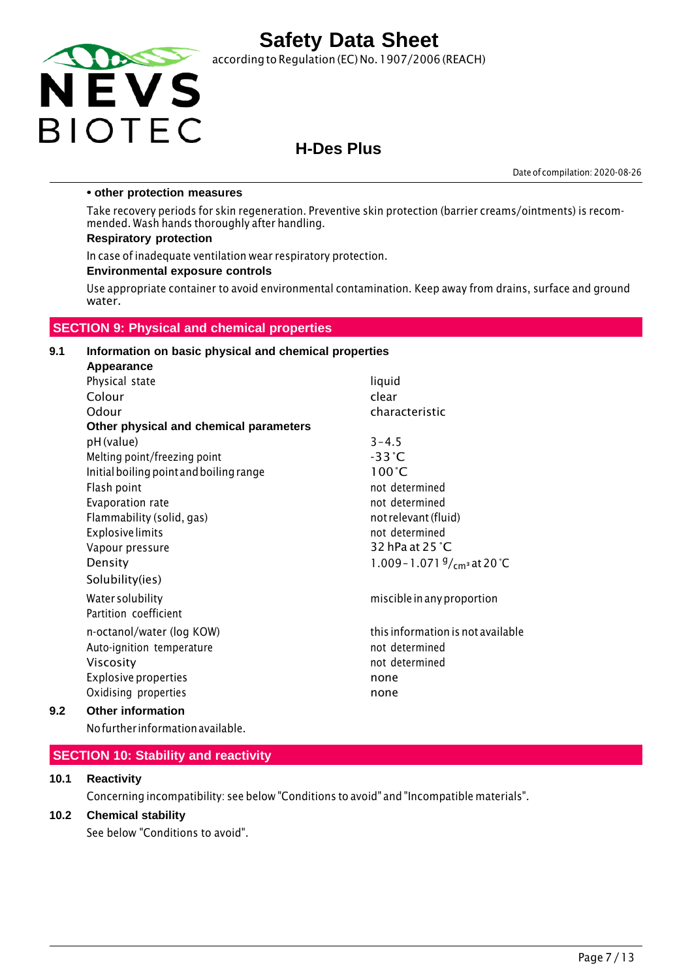

according to Regulation (EC) No.1907/2006 (REACH)

### **H-Des Plus**

Date of compilation: 2020-08-26

#### **• other protection measures**

Take recovery periods for skin regeneration. Preventive skin protection (barrier creams/ointments) is recommended. Wash hands thoroughly after handling.

#### **Respiratory protection**

In case of inadequate ventilation wear respiratory protection.

#### **Environmental exposure controls**

Use appropriate container to avoid environmental contamination. Keep away from drains, surface and ground water.

#### **SECTION 9: Physical and chemical properties**

#### **9.1 Information on basic physical and chemical properties Appearance**

| Physical state                          | liquid                                |
|-----------------------------------------|---------------------------------------|
| Colour                                  | clear                                 |
| Odour                                   | characteristic                        |
| Other physical and chemical parameters  |                                       |
| pH (value)                              | $3 - 4.5$                             |
| Melting point/freezing point            | $-33^{\circ}$ C                       |
| Initial boiling point and boiling range | $100^{\circ}$ C                       |
| Flash point                             | not determined                        |
| Evaporation rate                        | not determined                        |
| Flammability (solid, gas)               | not relevant (fluid)                  |
| <b>Explosive limits</b>                 | not determined                        |
| Vapour pressure                         | 32 hPa at 25 °C                       |
| Density                                 | 1.009 - 1.071 $\frac{9}{cm}$ at 20 °C |
| Solubility(ies)                         |                                       |
| Water solubility                        | miscible in any proportion            |
| Partition coefficient                   |                                       |
| n-octanol/water (log KOW)               | this information is not available     |
| Auto-ignition temperature               | not determined                        |
| <b>Viscosity</b>                        | not determined                        |
| <b>Explosive properties</b>             | none                                  |
| Oxidising properties                    | none                                  |
| Other information                       |                                       |

#### **9.2 Other information**

Nofurther informationavailable.

#### **SECTION 10: Stability and reactivity**

#### **10.1 Reactivity**

Concerning incompatibility: see below "Conditions to avoid" and "Incompatible materials".

#### **10.2 Chemical stability**

See below "Conditions to avoid".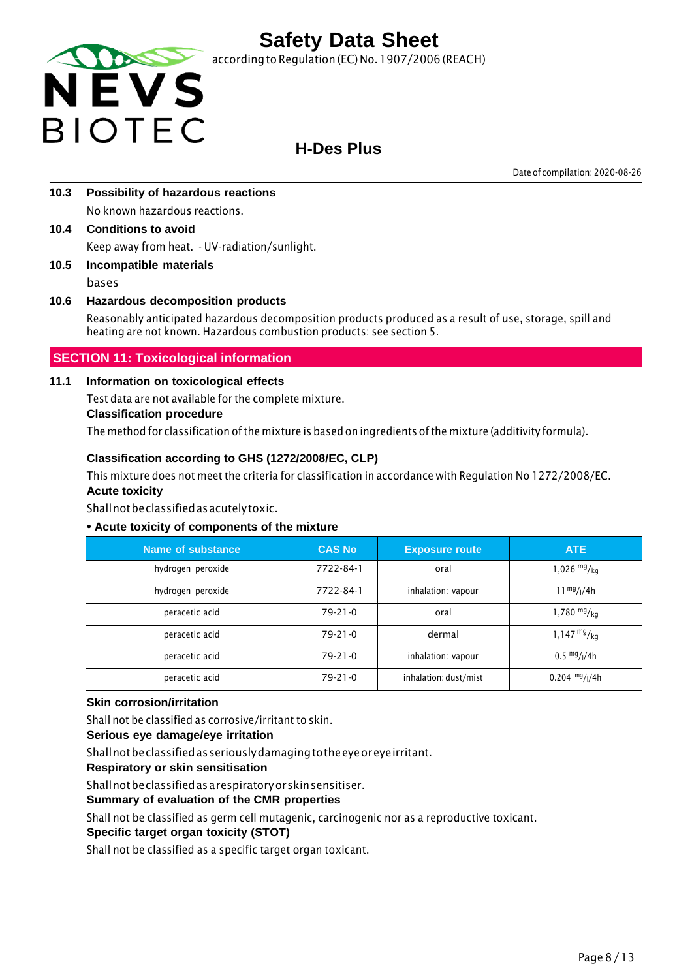

according to Regulation (EC) No. 1907/2006 (REACH)

## **H-Des Plus**

Date of compilation: 2020-08-26

- **10.3 Possibility of hazardous reactions** No known hazardous reactions.
- **10.4 Conditions to avoid** Keep away from heat. - UV-radiation/sunlight.
- **10.5 Incompatible materials** bases

### **10.6 Hazardous decomposition products**

Reasonably anticipated hazardous decomposition products produced as a result of use, storage, spill and heating are not known. Hazardous combustion products: see section 5.

### **SECTION 11: Toxicological information**

#### **11.1 Information on toxicological effects**

Test data are not available for the complete mixture.

#### **Classification procedure**

The method for classification ofthe mixture is based on ingredients of the mixture (additivity formula).

#### **Classification according to GHS (1272/2008/EC, CLP)**

This mixture does not meet the criteria for classification in accordance with Regulation No 1272/2008/EC. **Acute toxicity**

Shallnotbeclassifiedasacutelytoxic.

#### **• Acute toxicity of components of the mixture**

| Name of substance | <b>CAS No</b> | <b>Exposure route</b> | <b>ATE</b>                            |
|-------------------|---------------|-----------------------|---------------------------------------|
| hydrogen peroxide | 7722-84-1     | oral                  | 1,026 $mg/kq$                         |
| hydrogen peroxide | 7722-84-1     | inhalation: vapour    | $11^{mg}/(4h)$                        |
| peracetic acid    | $79-21-0$     | oral                  | 1,780 $mg/kg$                         |
| peracetic acid    | $79 - 21 - 0$ | dermal                | $1,147 \frac{mg}{kg}$                 |
| peracetic acid    | $79 - 21 - 0$ | inhalation: vapour    | $0.5 \frac{mg}{l}$ / <sub>1</sub> /4h |
| peracetic acid    | $79 - 21 - 0$ | inhalation: dust/mist | $0.204$ mg/ $1/4h$                    |

#### **Skin corrosion/irritation**

Shall not be classified as corrosive/irritant to skin.

#### **Serious eye damage/eye irritation**

Shallnotbeclassifiedasseriouslydamagingtotheeyeoreyeirritant.

**Respiratory or skin sensitisation**

Shallnotbeclassifiedasarespiratoryorskinsensitiser.

#### **Summary of evaluation of the CMR properties**

Shall not be classified as germ cell mutagenic, carcinogenic nor as a reproductive toxicant.

#### **Specific target organ toxicity (STOT)**

Shall not be classified as a specific target organ toxicant.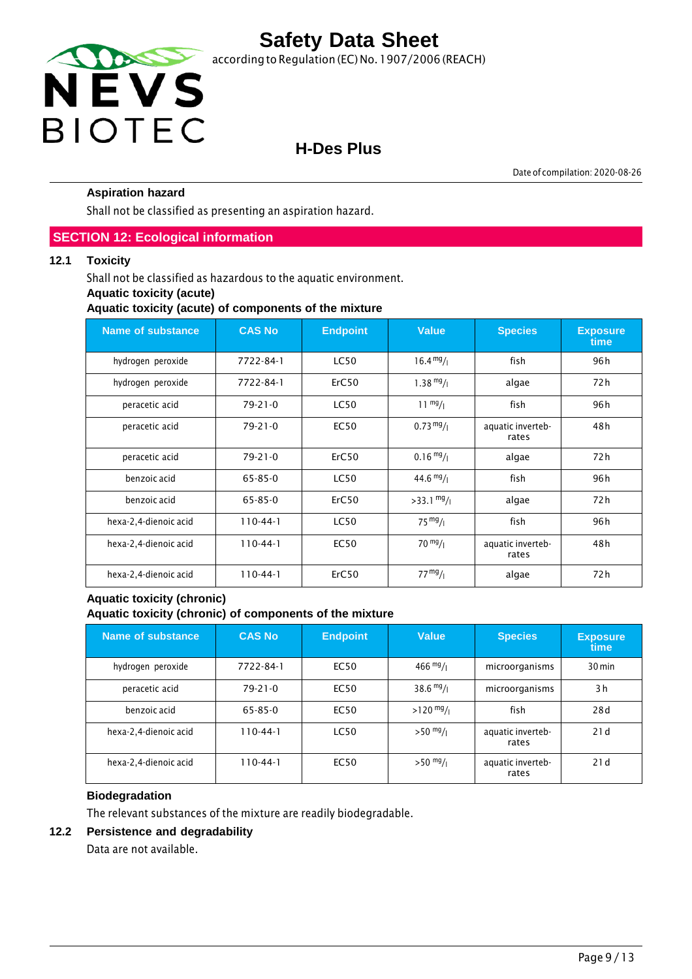

## **H-Des Plus**

Date of compilation: 2020-08-26

#### **Aspiration hazard**

Shall not be classified as presenting an aspiration hazard.

#### **SECTION 12: Ecological information**

#### **12.1 Toxicity**

Shall not be classified as hazardous to the aquatic environment.

#### **Aquatic toxicity (acute)**

**Aquatic toxicity (acute) of components of the mixture**

| <b>Name of substance</b> | <b>CAS No</b> | <b>Endpoint</b> | <b>Value</b>         | <b>Species</b>             | <b>Exposure</b><br>time |
|--------------------------|---------------|-----------------|----------------------|----------------------------|-------------------------|
| hydrogen peroxide        | 7722-84-1     | <b>LC50</b>     | $16.4 \frac{mg}{l}$  | fish                       | 96 h                    |
| hydrogen peroxide        | 7722-84-1     | ErC50           | $1.38 \frac{mg}{l}$  | algae                      | 72 h                    |
| peracetic acid           | $79 - 21 - 0$ | <b>LC50</b>     | $11 \frac{mg}{l}$    | fish                       | 96 h                    |
| peracetic acid           | $79 - 21 - 0$ | <b>EC50</b>     | $0.73 \frac{mg}{l}$  | aquatic inverteb-<br>rates | 48 h                    |
| peracetic acid           | $79 - 21 - 0$ | ErC50           | $0.16 \frac{mg}{l}$  | algae                      | 72 h                    |
| benzoic acid             | $65 - 85 - 0$ | <b>LC50</b>     | $44.6 \frac{mg}{l}$  | fish                       | 96 h                    |
| benzoic acid             | $65 - 85 - 0$ | ErC50           | $>33.1 \frac{mg}{l}$ | algae                      | 72 h                    |
| hexa-2,4-dienoic acid    | $110-44-1$    | <b>LC50</b>     | $75 \frac{mg}{l}$    | fish                       | 96 h                    |
| hexa-2,4-dienoic acid    | $110-44-1$    | <b>EC50</b>     | $70 \frac{mg}{l}$    | aquatic inverteb-<br>rates | 48 h                    |
| hexa-2,4-dienoic acid    | $110-44-1$    | ErC50           | 77 <sup>mg</sup> /1  | algae                      | 72 h                    |

#### **Aquatic toxicity (chronic) Aquatic toxicity (chronic) of components of the mixture**

| Name of substance     | <b>CAS No</b>  | <b>Endpoint</b> | <b>Value</b>        | <b>Species</b>             | <b>Exposure</b><br>time |
|-----------------------|----------------|-----------------|---------------------|----------------------------|-------------------------|
| hydrogen peroxide     | 7722-84-1      | EC50            | $466 \frac{mg}{l}$  | microorganisms             | $30 \,\mathrm{min}$     |
| peracetic acid        | $79 - 21 - 0$  | <b>EC50</b>     | $38.6 \frac{mg}{l}$ | microorganisms             | 3h                      |
| benzoic acid          | 65-85-0        | <b>EC50</b>     | $>120$ mg/ $_1$     | fish                       | 28d                     |
| hexa-2,4-dienoic acid | $110 - 44 - 1$ | <b>LC50</b>     | $>50 \frac{mg}{l}$  | aquatic inverteb-<br>rates | 21d                     |
| hexa-2,4-dienoic acid | $110 - 44 - 1$ | <b>EC50</b>     | $>50$ mg/           | aquatic inverteb-<br>rates | 21d                     |

#### **Biodegradation**

The relevant substances of the mixture are readily biodegradable.

#### **12.2 Persistence and degradability**

Data are not available.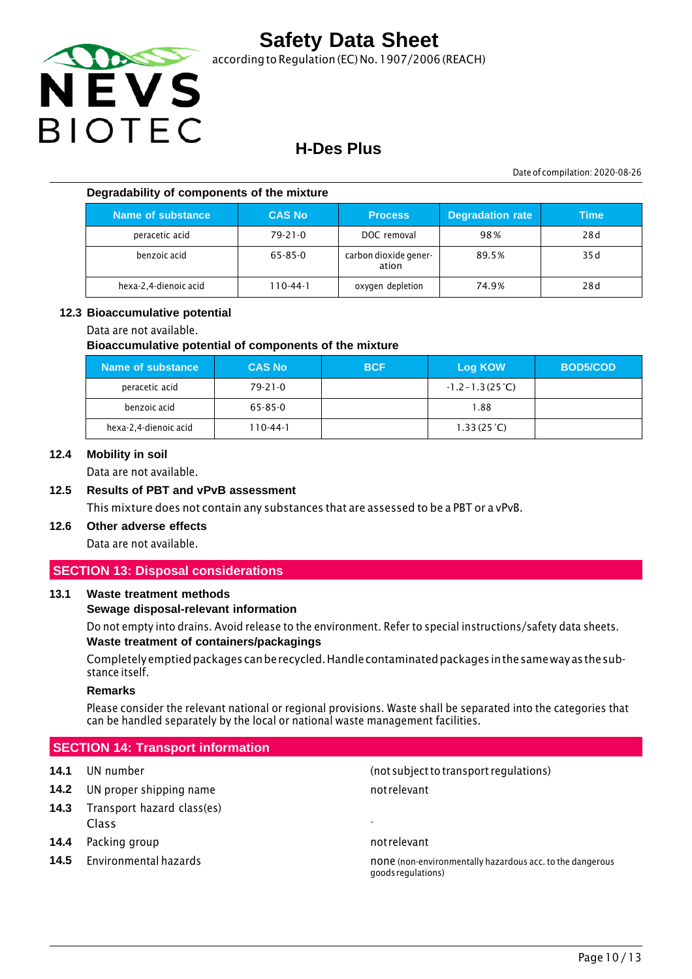

according to Regulation (EC) No.1907/2006 (REACH)

### **H-Des Plus**

Date of compilation: 2020-08-26

#### **Degradability of components of the mixture**

| Name of substance     | <b>CAS No</b> | <b>Process</b>                 | <b>Degradation rate</b> | <b>Time</b> |
|-----------------------|---------------|--------------------------------|-------------------------|-------------|
| peracetic acid        | $79 - 21 - 0$ | DOC removal                    | 98%                     | 28d         |
| benzoic acid          | $65 - 85 - 0$ | carbon dioxide gener-<br>ation | 89.5%                   | 35 d        |
| hexa-2,4-dienoic acid | 110-44-1      | oxygen depletion               | 74.9%                   | 28d         |

#### **12.3 Bioaccumulative potential**

#### Data are not available.

#### **Bioaccumulative potential of components of the mixture**

| Name of substance     | <b>CAS No</b> | <b>BCF</b> | <b>Log KOW</b>            | <b>BOD5/COD</b> |
|-----------------------|---------------|------------|---------------------------|-----------------|
| peracetic acid        | $79 - 21 - 0$ |            | $-1.2 - 1.3(25^{\circ}C)$ |                 |
| benzoic acid          | 65-85-0       |            | 1.88                      |                 |
| hexa-2,4-dienoic acid | 110-44-1      |            | 1.33(25 <sup>o</sup> C)   |                 |

#### **12.4 Mobility in soil**

Data are not available.

#### **12.5 Results of PBT and vPvB assessment**

This mixture does not contain any substances that are assessed to be a PBT or a vPvB.

### **12.6 Other adverse effects**

Data are not available.

#### **SECTION 13: Disposal considerations**

#### **13.1 Waste treatment methods**

#### **Sewage disposal-relevant information**

Do not empty into drains. Avoid release to the environment. Refer to special instructions/safety data sheets. **Waste treatment of containers/packagings**

Completelyemptiedpackages canberecycled.Handlecontaminatedpackages inthesameway asthesubstance itself.

#### **Remarks**

Please consider the relevant national or regional provisions. Waste shall be separated into the categories that can be handled separately by the local or national waste management facilities.

#### **SECTION 14: Transport information**

- **14.2** UN proper shipping name not relevant
- **14.3** Transport hazard class(es) Class -
- **14.4** Packing group **not relevant** not relevant
- 

**14.1** UN number (not subjectto transport regulations)

**14.5** Environmental hazards **none is a constant of the controller of the dangerous** none (non-environmentally hazardous acc. to the dangerous goodsregulations)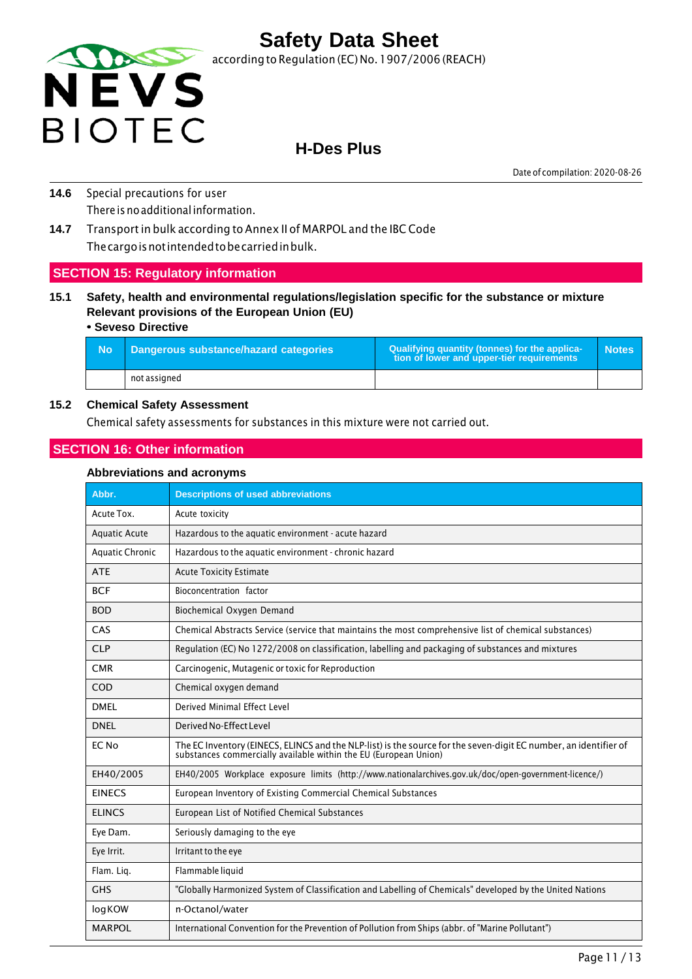

### **H-Des Plus**

Date of compilation: 2020-08-26

- **14.6** Special precautions for user There is no additional information.
- **14.7** Transport in bulk according to Annex II of MARPOL and the IBC Code Thecargoisnotintendedtobecarriedinbulk.

#### **SECTION 15: Regulatory information**

**15.1 Safety, health and environmental regulations/legislation specific for the substance or mixture Relevant provisions of the European Union (EU)**

#### **• Seveso Directive**

| - No | Dangerous substance/hazard categories | Qualifying quantity (tonnes) for the applica-<br>tion of lower and upper-tier requirements | <b>Notes</b> |
|------|---------------------------------------|--------------------------------------------------------------------------------------------|--------------|
|      | not assigned                          |                                                                                            |              |

#### **15.2 Chemical Safety Assessment**

Chemical safety assessments for substances in this mixture were not carried out.

#### **SECTION 16: Other information**

#### **Abbreviations and acronyms**

| Abbr.                  | <b>Descriptions of used abbreviations</b>                                                                                                                                         |
|------------------------|-----------------------------------------------------------------------------------------------------------------------------------------------------------------------------------|
| Acute Tox.             | Acute toxicity                                                                                                                                                                    |
| <b>Aquatic Acute</b>   | Hazardous to the aquatic environment - acute hazard                                                                                                                               |
| <b>Aquatic Chronic</b> | Hazardous to the aquatic environment - chronic hazard                                                                                                                             |
| <b>ATE</b>             | <b>Acute Toxicity Estimate</b>                                                                                                                                                    |
| <b>BCF</b>             | Bioconcentration factor                                                                                                                                                           |
| <b>BOD</b>             | Biochemical Oxygen Demand                                                                                                                                                         |
| CAS                    | Chemical Abstracts Service (service that maintains the most comprehensive list of chemical substances)                                                                            |
| <b>CLP</b>             | Regulation (EC) No 1272/2008 on classification, labelling and packaging of substances and mixtures                                                                                |
| <b>CMR</b>             | Carcinogenic, Mutagenic or toxic for Reproduction                                                                                                                                 |
| COD                    | Chemical oxygen demand                                                                                                                                                            |
| <b>DMEL</b>            | Derived Minimal Effect Level                                                                                                                                                      |
| <b>DNEL</b>            | Derived No-Effect Level                                                                                                                                                           |
| EC No                  | The EC Inventory (EINECS, ELINCS and the NLP-list) is the source for the seven-digit EC number, an identifier of substances commercially available within the EU (European Union) |
| EH40/2005              | EH40/2005 Workplace exposure limits (http://www.nationalarchives.gov.uk/doc/open-government-licence/)                                                                             |
| <b>EINECS</b>          | European Inventory of Existing Commercial Chemical Substances                                                                                                                     |
| <b>ELINCS</b>          | European List of Notified Chemical Substances                                                                                                                                     |
| Eye Dam.               | Seriously damaging to the eye                                                                                                                                                     |
| Eye Irrit.             | Irritant to the eye                                                                                                                                                               |
| Flam. Lig.             | Flammable liquid                                                                                                                                                                  |
| <b>GHS</b>             | "Globally Harmonized System of Classification and Labelling of Chemicals" developed by the United Nations                                                                         |
| logKOW                 | n-Octanol/water                                                                                                                                                                   |
| <b>MARPOL</b>          | International Convention for the Prevention of Pollution from Ships (abbr. of "Marine Pollutant")                                                                                 |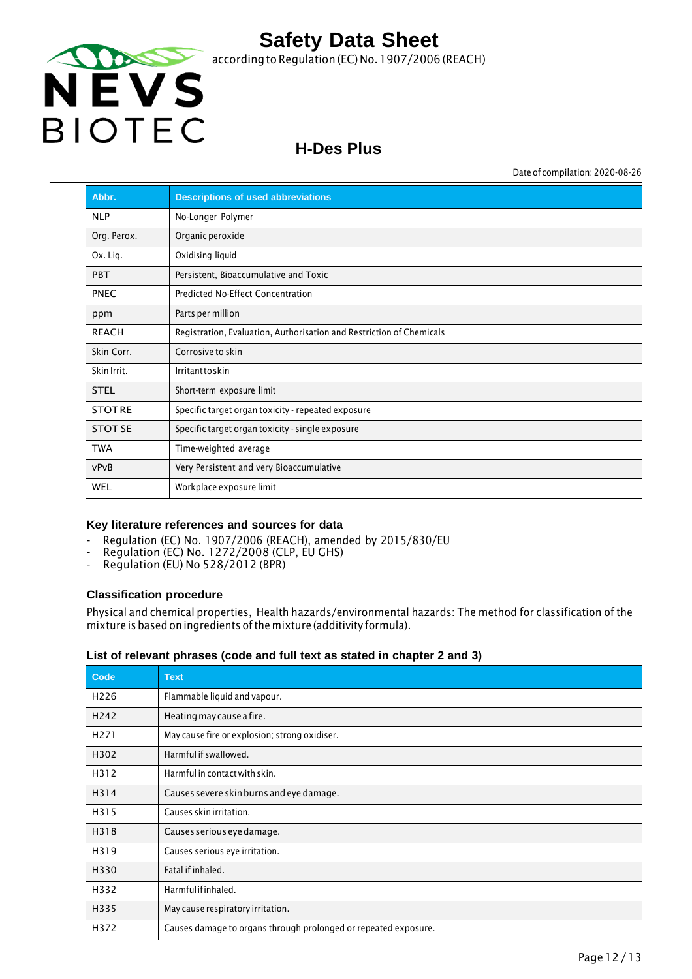

## **H-Des Plus**

Date of compilation: 2020-08-26

| Abbr.          | <b>Descriptions of used abbreviations</b>                            |
|----------------|----------------------------------------------------------------------|
| <b>NLP</b>     | No-Longer Polymer                                                    |
| Org. Perox.    | Organic peroxide                                                     |
| Ox. Lig.       | Oxidising liquid                                                     |
| <b>PBT</b>     | Persistent, Bioaccumulative and Toxic                                |
| <b>PNEC</b>    | Predicted No-Effect Concentration                                    |
| ppm            | Parts per million                                                    |
| <b>REACH</b>   | Registration, Evaluation, Authorisation and Restriction of Chemicals |
| Skin Corr.     | Corrosive to skin                                                    |
| Skin Irrit.    | Irritanttoskin                                                       |
| <b>STEL</b>    | Short-term exposure limit                                            |
| <b>STOTRE</b>  | Specific target organ toxicity - repeated exposure                   |
| <b>STOT SE</b> | Specific target organ toxicity - single exposure                     |
| <b>TWA</b>     | Time-weighted average                                                |
| vPvB           | Very Persistent and very Bioaccumulative                             |
| WEL            | Workplace exposure limit                                             |

#### **Key literature references and sources for data**

- Regulation (EC) No. 1907/2006 (REACH), amended by 2015/830/EU
- Regulation (EC) No. 1272/2008 (CLP, EU GHS)
- Regulation (EU) No 528/2012 (BPR)

#### **Classification procedure**

Physical and chemical properties, Health hazards/environmental hazards: The method for classification of the mixture is based on ingredients ofthe mixture (additivity formula).

#### **List of relevant phrases (code and full text as stated in chapter 2 and 3)**

| Code             | <b>Text</b>                                                     |
|------------------|-----------------------------------------------------------------|
| H <sub>226</sub> | Flammable liquid and vapour.                                    |
| H <sub>242</sub> | Heating may cause a fire.                                       |
| H <sub>271</sub> | May cause fire or explosion; strong oxidiser.                   |
| H302             | Harmful if swallowed.                                           |
| H312             | Harmful in contact with skin.                                   |
| H314             | Causes severe skin burns and eye damage.                        |
| H315             | Causes skin irritation.                                         |
| H318             | Causes serious eye damage.                                      |
| H319             | Causes serious eye irritation.                                  |
| H330             | Fatal if inhaled.                                               |
| H332             | Harmfulifinhaled.                                               |
| H335             | May cause respiratory irritation.                               |
| H372             | Causes damage to organs through prolonged or repeated exposure. |